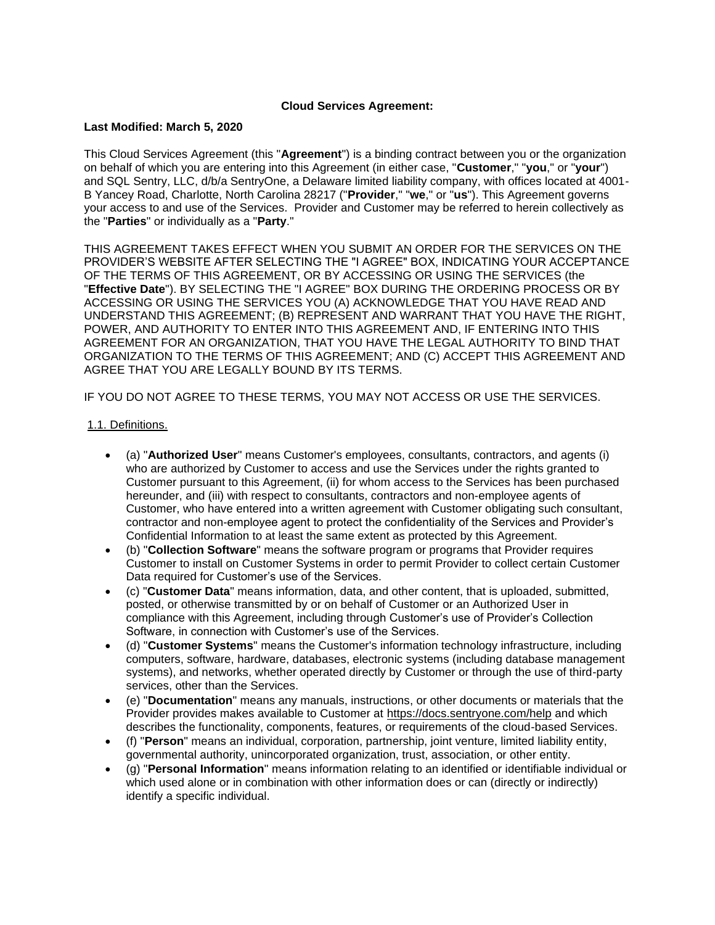## **Cloud Services Agreement:**

### **Last Modified: March 5, 2020**

This Cloud Services Agreement (this "**Agreement**") is a binding contract between you or the organization on behalf of which you are entering into this Agreement (in either case, "**Customer**," "**you**," or "**your**") and SQL Sentry, LLC, d/b/a SentryOne, a Delaware limited liability company, with offices located at 4001- B Yancey Road, Charlotte, North Carolina 28217 ("**Provider**," "**we**," or "**us**"). This Agreement governs your access to and use of the Services. Provider and Customer may be referred to herein collectively as the "**Parties**" or individually as a "**Party**."

THIS AGREEMENT TAKES EFFECT WHEN YOU SUBMIT AN ORDER FOR THE SERVICES ON THE PROVIDER'S WEBSITE AFTER SELECTING THE "I AGREE" BOX, INDICATING YOUR ACCEPTANCE OF THE TERMS OF THIS AGREEMENT, OR BY ACCESSING OR USING THE SERVICES (the "**Effective Date**"). BY SELECTING THE "I AGREE" BOX DURING THE ORDERING PROCESS OR BY ACCESSING OR USING THE SERVICES YOU (A) ACKNOWLEDGE THAT YOU HAVE READ AND UNDERSTAND THIS AGREEMENT; (B) REPRESENT AND WARRANT THAT YOU HAVE THE RIGHT, POWER, AND AUTHORITY TO ENTER INTO THIS AGREEMENT AND, IF ENTERING INTO THIS AGREEMENT FOR AN ORGANIZATION, THAT YOU HAVE THE LEGAL AUTHORITY TO BIND THAT ORGANIZATION TO THE TERMS OF THIS AGREEMENT; AND (C) ACCEPT THIS AGREEMENT AND AGREE THAT YOU ARE LEGALLY BOUND BY ITS TERMS.

IF YOU DO NOT AGREE TO THESE TERMS, YOU MAY NOT ACCESS OR USE THE SERVICES.

### 1.1. Definitions.

- (a) "**Authorized User**" means Customer's employees, consultants, contractors, and agents (i) who are authorized by Customer to access and use the Services under the rights granted to Customer pursuant to this Agreement, (ii) for whom access to the Services has been purchased hereunder, and (iii) with respect to consultants, contractors and non-employee agents of Customer, who have entered into a written agreement with Customer obligating such consultant, contractor and non-employee agent to protect the confidentiality of the Services and Provider's Confidential Information to at least the same extent as protected by this Agreement.
- (b) "**Collection Software**" means the software program or programs that Provider requires Customer to install on Customer Systems in order to permit Provider to collect certain Customer Data required for Customer's use of the Services.
- (c) "**Customer Data**" means information, data, and other content, that is uploaded, submitted, posted, or otherwise transmitted by or on behalf of Customer or an Authorized User in compliance with this Agreement, including through Customer's use of Provider's Collection Software, in connection with Customer's use of the Services.
- (d) "**Customer Systems**" means the Customer's information technology infrastructure, including computers, software, hardware, databases, electronic systems (including database management systems), and networks, whether operated directly by Customer or through the use of third-party services, other than the Services.
- (e) "**Documentation**" means any manuals, instructions, or other documents or materials that the Provider provides makes available to Customer at <https://docs.sentryone.com/help> and which describes the functionality, components, features, or requirements of the cloud-based Services.
- (f) "**Person**" means an individual, corporation, partnership, joint venture, limited liability entity, governmental authority, unincorporated organization, trust, association, or other entity.
- (g) "**Personal Information**" means information relating to an identified or identifiable individual or which used alone or in combination with other information does or can (directly or indirectly) identify a specific individual.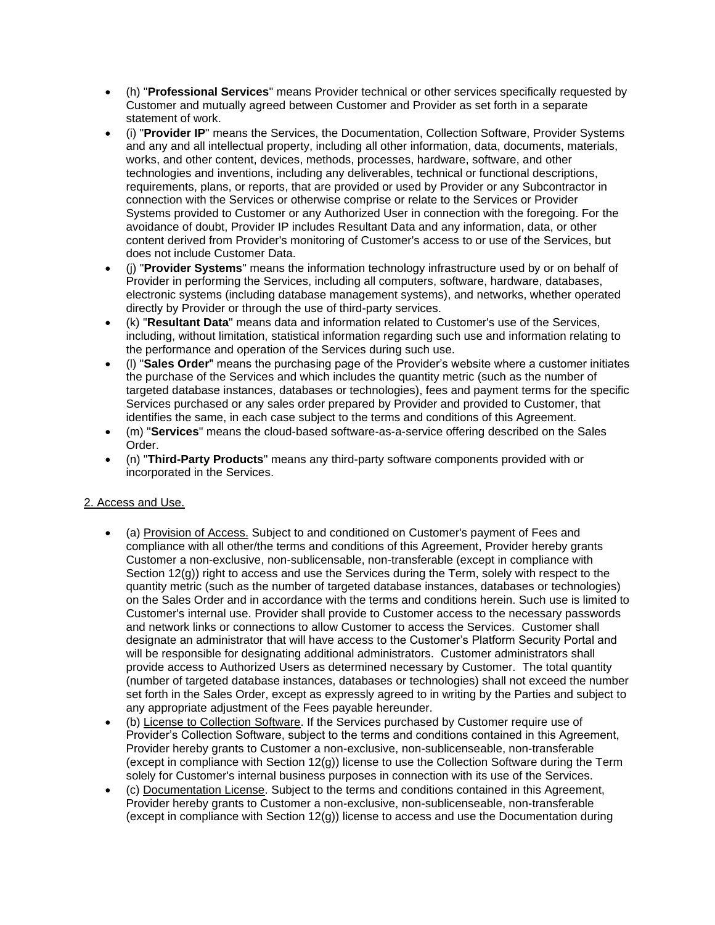- (h) "**Professional Services**" means Provider technical or other services specifically requested by Customer and mutually agreed between Customer and Provider as set forth in a separate statement of work.
- (i) "**Provider IP**" means the Services, the Documentation, Collection Software, Provider Systems and any and all intellectual property, including all other information, data, documents, materials, works, and other content, devices, methods, processes, hardware, software, and other technologies and inventions, including any deliverables, technical or functional descriptions, requirements, plans, or reports, that are provided or used by Provider or any Subcontractor in connection with the Services or otherwise comprise or relate to the Services or Provider Systems provided to Customer or any Authorized User in connection with the foregoing. For the avoidance of doubt, Provider IP includes Resultant Data and any information, data, or other content derived from Provider's monitoring of Customer's access to or use of the Services, but does not include Customer Data.
- (j) "**Provider Systems**" means the information technology infrastructure used by or on behalf of Provider in performing the Services, including all computers, software, hardware, databases, electronic systems (including database management systems), and networks, whether operated directly by Provider or through the use of third-party services.
- (k) "**Resultant Data**" means data and information related to Customer's use of the Services, including, without limitation, statistical information regarding such use and information relating to the performance and operation of the Services during such use.
- (l) "**Sales Order**" means the purchasing page of the Provider's website where a customer initiates the purchase of the Services and which includes the quantity metric (such as the number of targeted database instances, databases or technologies), fees and payment terms for the specific Services purchased or any sales order prepared by Provider and provided to Customer, that identifies the same, in each case subject to the terms and conditions of this Agreement.
- (m) "**Services**" means the cloud-based software-as-a-service offering described on the Sales Order.
- (n) "**Third-Party Products**" means any third-party software components provided with or incorporated in the Services.

# 2. Access and Use.

- (a) Provision of Access. Subject to and conditioned on Customer's payment of Fees and compliance with all other/the terms and conditions of this Agreement, Provider hereby grants Customer a non-exclusive, non-sublicensable, non-transferable (except in compliance with Section 12(g)) right to access and use the Services during the Term, solely with respect to the quantity metric (such as the number of targeted database instances, databases or technologies) on the Sales Order and in accordance with the terms and conditions herein. Such use is limited to Customer's internal use. Provider shall provide to Customer access to the necessary passwords and network links or connections to allow Customer to access the Services. Customer shall designate an administrator that will have access to the Customer's Platform Security Portal and will be responsible for designating additional administrators. Customer administrators shall provide access to Authorized Users as determined necessary by Customer. The total quantity (number of targeted database instances, databases or technologies) shall not exceed the number set forth in the Sales Order, except as expressly agreed to in writing by the Parties and subject to any appropriate adjustment of the Fees payable hereunder.
- (b) License to Collection Software. If the Services purchased by Customer require use of Provider's Collection Software, subject to the terms and conditions contained in this Agreement, Provider hereby grants to Customer a non-exclusive, non-sublicenseable, non-transferable (except in compliance with Section 12(g)) license to use the Collection Software during the Term solely for Customer's internal business purposes in connection with its use of the Services.
- (c) Documentation License. Subject to the terms and conditions contained in this Agreement, Provider hereby grants to Customer a non-exclusive, non-sublicenseable, non-transferable (except in compliance with Section  $12(q)$ ) license to access and use the Documentation during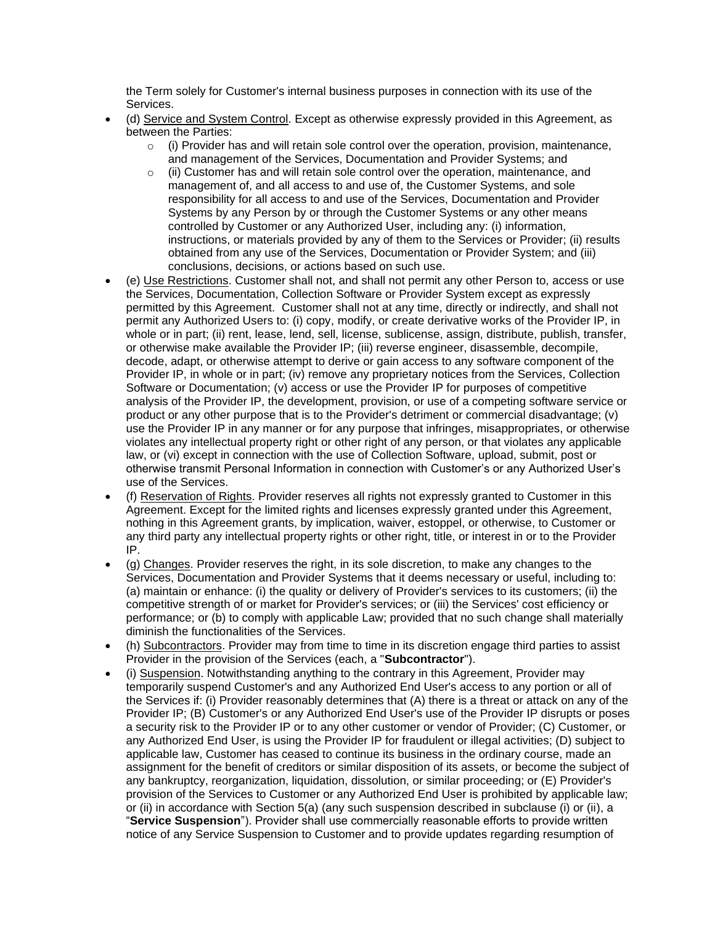the Term solely for Customer's internal business purposes in connection with its use of the Services.

- (d) Service and System Control. Except as otherwise expressly provided in this Agreement, as between the Parties:
	- $\circ$  (i) Provider has and will retain sole control over the operation, provision, maintenance, and management of the Services, Documentation and Provider Systems; and
	- $\circ$  (ii) Customer has and will retain sole control over the operation, maintenance, and management of, and all access to and use of, the Customer Systems, and sole responsibility for all access to and use of the Services, Documentation and Provider Systems by any Person by or through the Customer Systems or any other means controlled by Customer or any Authorized User, including any: (i) information, instructions, or materials provided by any of them to the Services or Provider; (ii) results obtained from any use of the Services, Documentation or Provider System; and (iii) conclusions, decisions, or actions based on such use.
- (e) Use Restrictions. Customer shall not, and shall not permit any other Person to, access or use the Services, Documentation, Collection Software or Provider System except as expressly permitted by this Agreement. Customer shall not at any time, directly or indirectly, and shall not permit any Authorized Users to: (i) copy, modify, or create derivative works of the Provider IP, in whole or in part; (ii) rent, lease, lend, sell, license, sublicense, assign, distribute, publish, transfer, or otherwise make available the Provider IP; (iii) reverse engineer, disassemble, decompile, decode, adapt, or otherwise attempt to derive or gain access to any software component of the Provider IP, in whole or in part; (iv) remove any proprietary notices from the Services, Collection Software or Documentation; (v) access or use the Provider IP for purposes of competitive analysis of the Provider IP, the development, provision, or use of a competing software service or product or any other purpose that is to the Provider's detriment or commercial disadvantage; (v) use the Provider IP in any manner or for any purpose that infringes, misappropriates, or otherwise violates any intellectual property right or other right of any person, or that violates any applicable law, or (vi) except in connection with the use of Collection Software, upload, submit, post or otherwise transmit Personal Information in connection with Customer's or any Authorized User's use of the Services.
- (f) Reservation of Rights. Provider reserves all rights not expressly granted to Customer in this Agreement. Except for the limited rights and licenses expressly granted under this Agreement, nothing in this Agreement grants, by implication, waiver, estoppel, or otherwise, to Customer or any third party any intellectual property rights or other right, title, or interest in or to the Provider IP.
- (g) Changes. Provider reserves the right, in its sole discretion, to make any changes to the Services, Documentation and Provider Systems that it deems necessary or useful, including to: (a) maintain or enhance: (i) the quality or delivery of Provider's services to its customers; (ii) the competitive strength of or market for Provider's services; or (iii) the Services' cost efficiency or performance; or (b) to comply with applicable Law; provided that no such change shall materially diminish the functionalities of the Services.
- (h) Subcontractors. Provider may from time to time in its discretion engage third parties to assist Provider in the provision of the Services (each, a "**Subcontractor**").
- (i) Suspension. Notwithstanding anything to the contrary in this Agreement, Provider may temporarily suspend Customer's and any Authorized End User's access to any portion or all of the Services if: (i) Provider reasonably determines that (A) there is a threat or attack on any of the Provider IP; (B) Customer's or any Authorized End User's use of the Provider IP disrupts or poses a security risk to the Provider IP or to any other customer or vendor of Provider; (C) Customer, or any Authorized End User, is using the Provider IP for fraudulent or illegal activities; (D) subject to applicable law, Customer has ceased to continue its business in the ordinary course, made an assignment for the benefit of creditors or similar disposition of its assets, or become the subject of any bankruptcy, reorganization, liquidation, dissolution, or similar proceeding; or (E) Provider's provision of the Services to Customer or any Authorized End User is prohibited by applicable law; or (ii) in accordance with Section 5(a) (any such suspension described in subclause (i) or (ii), a "**Service Suspension**"). Provider shall use commercially reasonable efforts to provide written notice of any Service Suspension to Customer and to provide updates regarding resumption of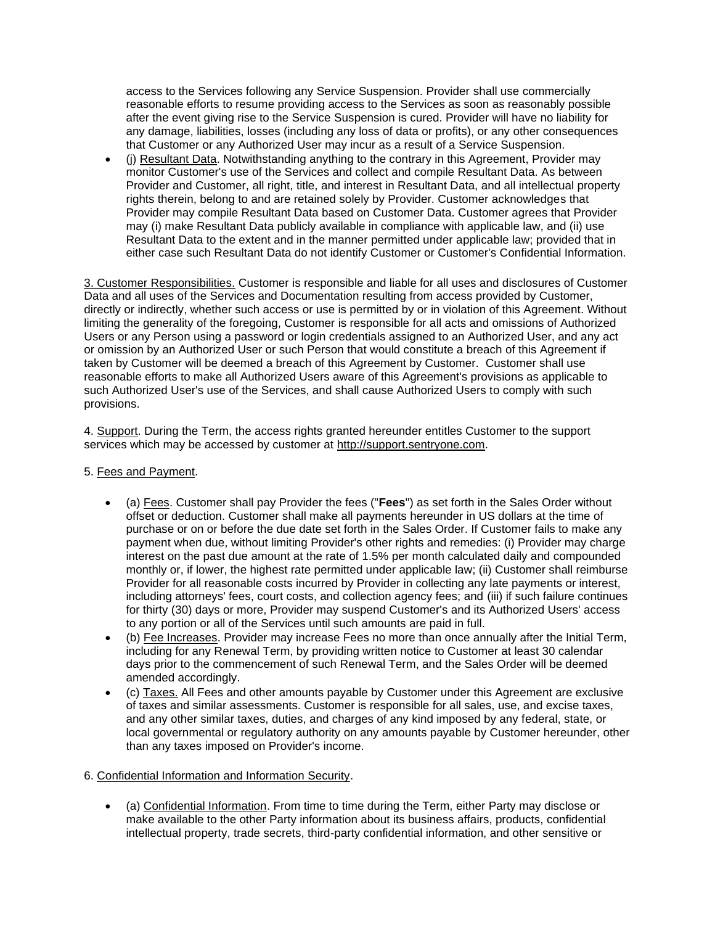access to the Services following any Service Suspension. Provider shall use commercially reasonable efforts to resume providing access to the Services as soon as reasonably possible after the event giving rise to the Service Suspension is cured. Provider will have no liability for any damage, liabilities, losses (including any loss of data or profits), or any other consequences that Customer or any Authorized User may incur as a result of a Service Suspension.

• (j) Resultant Data. Notwithstanding anything to the contrary in this Agreement, Provider may monitor Customer's use of the Services and collect and compile Resultant Data. As between Provider and Customer, all right, title, and interest in Resultant Data, and all intellectual property rights therein, belong to and are retained solely by Provider. Customer acknowledges that Provider may compile Resultant Data based on Customer Data. Customer agrees that Provider may (i) make Resultant Data publicly available in compliance with applicable law, and (ii) use Resultant Data to the extent and in the manner permitted under applicable law; provided that in either case such Resultant Data do not identify Customer or Customer's Confidential Information.

3. Customer Responsibilities. Customer is responsible and liable for all uses and disclosures of Customer Data and all uses of the Services and Documentation resulting from access provided by Customer, directly or indirectly, whether such access or use is permitted by or in violation of this Agreement. Without limiting the generality of the foregoing, Customer is responsible for all acts and omissions of Authorized Users or any Person using a password or login credentials assigned to an Authorized User, and any act or omission by an Authorized User or such Person that would constitute a breach of this Agreement if taken by Customer will be deemed a breach of this Agreement by Customer. Customer shall use reasonable efforts to make all Authorized Users aware of this Agreement's provisions as applicable to such Authorized User's use of the Services, and shall cause Authorized Users to comply with such provisions.

4. Support. During the Term, the access rights granted hereunder entitles Customer to the support services which may be accessed by customer at [http://support.sentryone.com.](http://support.sentryone.com/)

- 5. Fees and Payment.
	- (a) Fees. Customer shall pay Provider the fees ("**Fees**") as set forth in the Sales Order without offset or deduction. Customer shall make all payments hereunder in US dollars at the time of purchase or on or before the due date set forth in the Sales Order. If Customer fails to make any payment when due, without limiting Provider's other rights and remedies: (i) Provider may charge interest on the past due amount at the rate of 1.5% per month calculated daily and compounded monthly or, if lower, the highest rate permitted under applicable law; (ii) Customer shall reimburse Provider for all reasonable costs incurred by Provider in collecting any late payments or interest, including attorneys' fees, court costs, and collection agency fees; and (iii) if such failure continues for thirty (30) days or more, Provider may suspend Customer's and its Authorized Users' access to any portion or all of the Services until such amounts are paid in full.
	- (b) Fee Increases. Provider may increase Fees no more than once annually after the Initial Term, including for any Renewal Term, by providing written notice to Customer at least 30 calendar days prior to the commencement of such Renewal Term, and the Sales Order will be deemed amended accordingly.
	- (c) Taxes. All Fees and other amounts payable by Customer under this Agreement are exclusive of taxes and similar assessments. Customer is responsible for all sales, use, and excise taxes, and any other similar taxes, duties, and charges of any kind imposed by any federal, state, or local governmental or regulatory authority on any amounts payable by Customer hereunder, other than any taxes imposed on Provider's income.

### 6. Confidential Information and Information Security.

• (a) Confidential Information. From time to time during the Term, either Party may disclose or make available to the other Party information about its business affairs, products, confidential intellectual property, trade secrets, third-party confidential information, and other sensitive or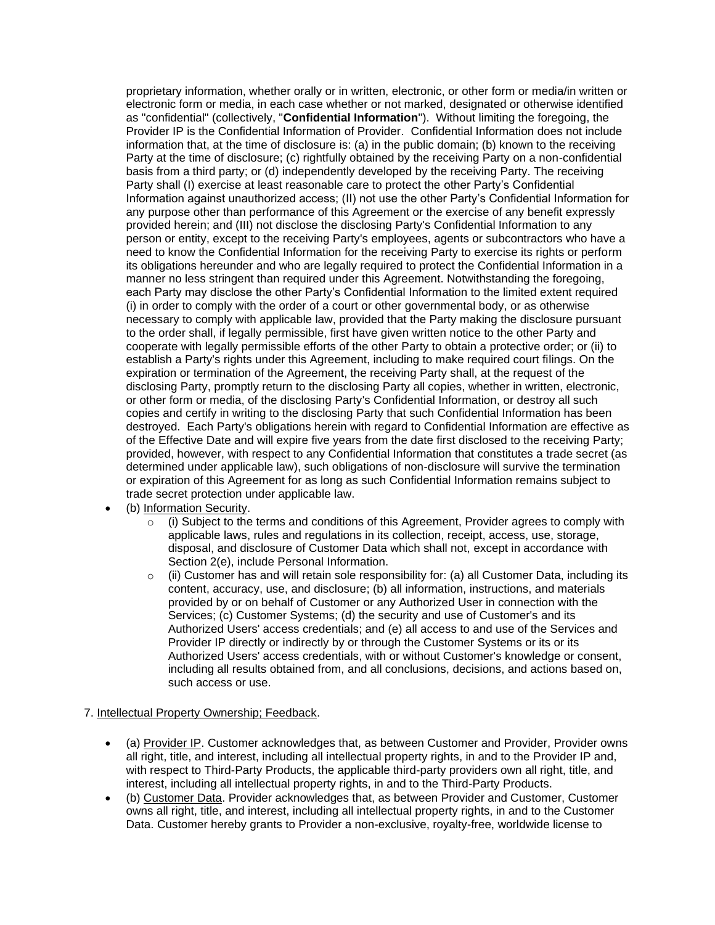proprietary information, whether orally or in written, electronic, or other form or media/in written or electronic form or media, in each case whether or not marked, designated or otherwise identified as "confidential" (collectively, "**Confidential Information**"). Without limiting the foregoing, the Provider IP is the Confidential Information of Provider. Confidential Information does not include information that, at the time of disclosure is: (a) in the public domain; (b) known to the receiving Party at the time of disclosure; (c) rightfully obtained by the receiving Party on a non-confidential basis from a third party; or (d) independently developed by the receiving Party. The receiving Party shall (I) exercise at least reasonable care to protect the other Party's Confidential Information against unauthorized access; (II) not use the other Party's Confidential Information for any purpose other than performance of this Agreement or the exercise of any benefit expressly provided herein; and (III) not disclose the disclosing Party's Confidential Information to any person or entity, except to the receiving Party's employees, agents or subcontractors who have a need to know the Confidential Information for the receiving Party to exercise its rights or perform its obligations hereunder and who are legally required to protect the Confidential Information in a manner no less stringent than required under this Agreement. Notwithstanding the foregoing, each Party may disclose the other Party's Confidential Information to the limited extent required (i) in order to comply with the order of a court or other governmental body, or as otherwise necessary to comply with applicable law, provided that the Party making the disclosure pursuant to the order shall, if legally permissible, first have given written notice to the other Party and cooperate with legally permissible efforts of the other Party to obtain a protective order; or (ii) to establish a Party's rights under this Agreement, including to make required court filings. On the expiration or termination of the Agreement, the receiving Party shall, at the request of the disclosing Party, promptly return to the disclosing Party all copies, whether in written, electronic, or other form or media, of the disclosing Party's Confidential Information, or destroy all such copies and certify in writing to the disclosing Party that such Confidential Information has been destroyed. Each Party's obligations herein with regard to Confidential Information are effective as of the Effective Date and will expire five years from the date first disclosed to the receiving Party; provided, however, with respect to any Confidential Information that constitutes a trade secret (as determined under applicable law), such obligations of non-disclosure will survive the termination or expiration of this Agreement for as long as such Confidential Information remains subject to trade secret protection under applicable law.

- (b) Information Security.<br>  $\circ$  (i) Subject to the
	- (i) Subject to the terms and conditions of this Agreement, Provider agrees to comply with applicable laws, rules and regulations in its collection, receipt, access, use, storage, disposal, and disclosure of Customer Data which shall not, except in accordance with Section 2(e), include Personal Information.
	- $\circ$  (ii) Customer has and will retain sole responsibility for: (a) all Customer Data, including its content, accuracy, use, and disclosure; (b) all information, instructions, and materials provided by or on behalf of Customer or any Authorized User in connection with the Services; (c) Customer Systems; (d) the security and use of Customer's and its Authorized Users' access credentials; and (e) all access to and use of the Services and Provider IP directly or indirectly by or through the Customer Systems or its or its Authorized Users' access credentials, with or without Customer's knowledge or consent, including all results obtained from, and all conclusions, decisions, and actions based on, such access or use.

### 7. Intellectual Property Ownership; Feedback.

- (a) Provider IP. Customer acknowledges that, as between Customer and Provider, Provider owns all right, title, and interest, including all intellectual property rights, in and to the Provider IP and, with respect to Third-Party Products, the applicable third-party providers own all right, title, and interest, including all intellectual property rights, in and to the Third-Party Products.
- (b) Customer Data. Provider acknowledges that, as between Provider and Customer, Customer owns all right, title, and interest, including all intellectual property rights, in and to the Customer Data. Customer hereby grants to Provider a non-exclusive, royalty-free, worldwide license to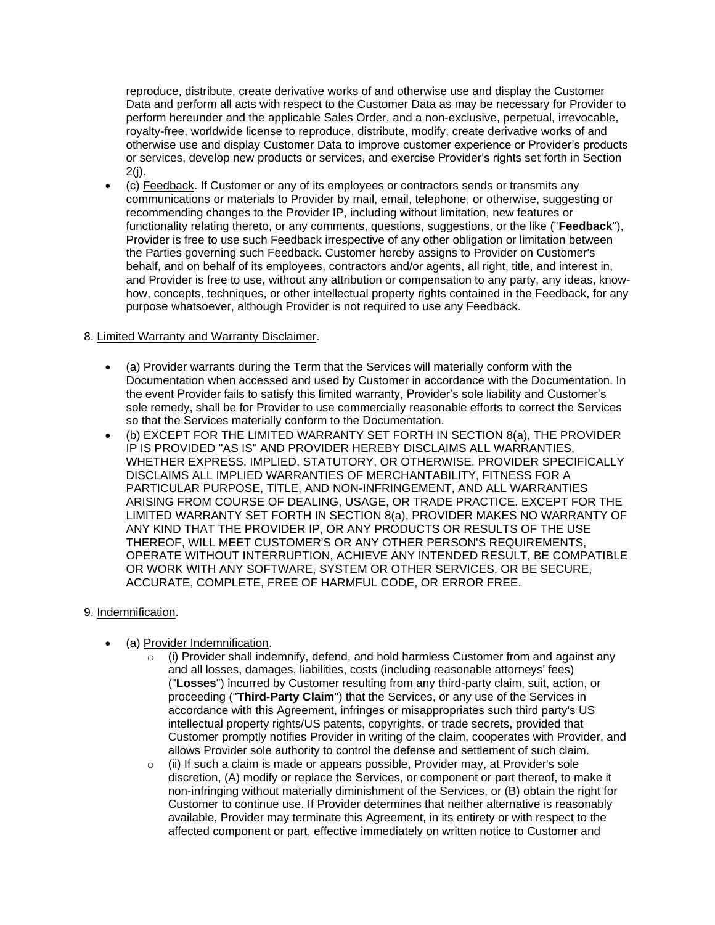reproduce, distribute, create derivative works of and otherwise use and display the Customer Data and perform all acts with respect to the Customer Data as may be necessary for Provider to perform hereunder and the applicable Sales Order, and a non-exclusive, perpetual, irrevocable, royalty-free, worldwide license to reproduce, distribute, modify, create derivative works of and otherwise use and display Customer Data to improve customer experience or Provider's products or services, develop new products or services, and exercise Provider's rights set forth in Section  $2(i)$ .

• (c) Feedback. If Customer or any of its employees or contractors sends or transmits any communications or materials to Provider by mail, email, telephone, or otherwise, suggesting or recommending changes to the Provider IP, including without limitation, new features or functionality relating thereto, or any comments, questions, suggestions, or the like ("**Feedback**"), Provider is free to use such Feedback irrespective of any other obligation or limitation between the Parties governing such Feedback. Customer hereby assigns to Provider on Customer's behalf, and on behalf of its employees, contractors and/or agents, all right, title, and interest in, and Provider is free to use, without any attribution or compensation to any party, any ideas, knowhow, concepts, techniques, or other intellectual property rights contained in the Feedback, for any purpose whatsoever, although Provider is not required to use any Feedback.

## 8. Limited Warranty and Warranty Disclaimer.

- (a) Provider warrants during the Term that the Services will materially conform with the Documentation when accessed and used by Customer in accordance with the Documentation. In the event Provider fails to satisfy this limited warranty, Provider's sole liability and Customer's sole remedy, shall be for Provider to use commercially reasonable efforts to correct the Services so that the Services materially conform to the Documentation.
- (b) EXCEPT FOR THE LIMITED WARRANTY SET FORTH IN SECTION 8(a), THE PROVIDER IP IS PROVIDED "AS IS" AND PROVIDER HEREBY DISCLAIMS ALL WARRANTIES, WHETHER EXPRESS, IMPLIED, STATUTORY, OR OTHERWISE. PROVIDER SPECIFICALLY DISCLAIMS ALL IMPLIED WARRANTIES OF MERCHANTABILITY, FITNESS FOR A PARTICULAR PURPOSE, TITLE, AND NON-INFRINGEMENT, AND ALL WARRANTIES ARISING FROM COURSE OF DEALING, USAGE, OR TRADE PRACTICE. EXCEPT FOR THE LIMITED WARRANTY SET FORTH IN SECTION 8(a), PROVIDER MAKES NO WARRANTY OF ANY KIND THAT THE PROVIDER IP, OR ANY PRODUCTS OR RESULTS OF THE USE THEREOF, WILL MEET CUSTOMER'S OR ANY OTHER PERSON'S REQUIREMENTS, OPERATE WITHOUT INTERRUPTION, ACHIEVE ANY INTENDED RESULT, BE COMPATIBLE OR WORK WITH ANY SOFTWARE, SYSTEM OR OTHER SERVICES, OR BE SECURE, ACCURATE, COMPLETE, FREE OF HARMFUL CODE, OR ERROR FREE.

### 9. Indemnification.

- (a) Provider Indemnification.
	- $\circ$  (i) Provider shall indemnify, defend, and hold harmless Customer from and against any and all losses, damages, liabilities, costs (including reasonable attorneys' fees) ("**Losses**") incurred by Customer resulting from any third-party claim, suit, action, or proceeding ("**Third-Party Claim**") that the Services, or any use of the Services in accordance with this Agreement, infringes or misappropriates such third party's US intellectual property rights/US patents, copyrights, or trade secrets, provided that Customer promptly notifies Provider in writing of the claim, cooperates with Provider, and allows Provider sole authority to control the defense and settlement of such claim.
	- o (ii) If such a claim is made or appears possible, Provider may, at Provider's sole discretion, (A) modify or replace the Services, or component or part thereof, to make it non-infringing without materially diminishment of the Services, or (B) obtain the right for Customer to continue use. If Provider determines that neither alternative is reasonably available, Provider may terminate this Agreement, in its entirety or with respect to the affected component or part, effective immediately on written notice to Customer and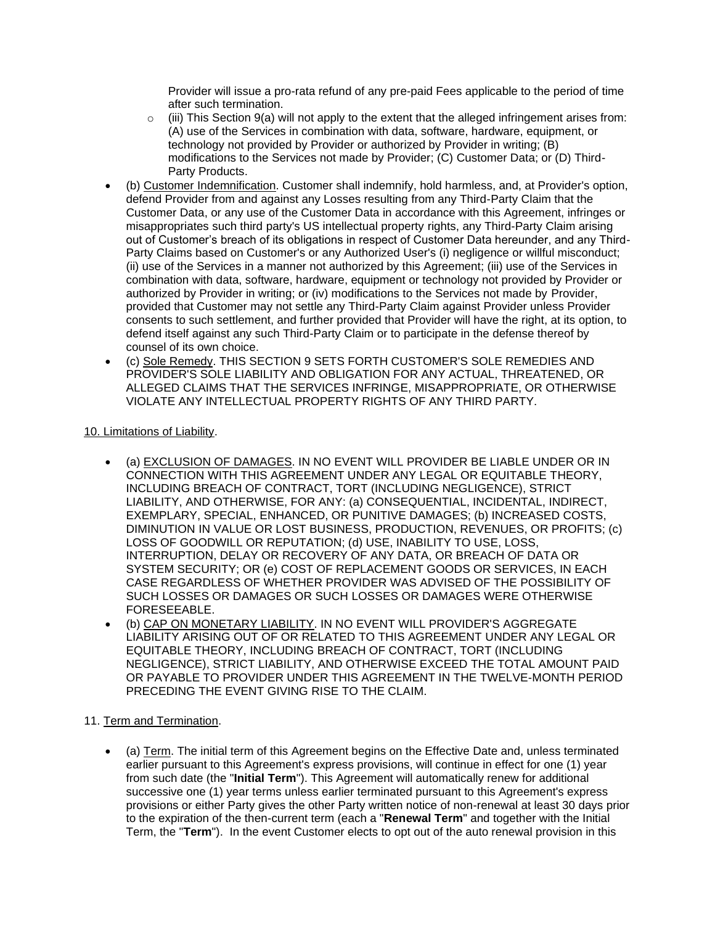Provider will issue a pro-rata refund of any pre-paid Fees applicable to the period of time after such termination.

- $\circ$  (iii) This Section 9(a) will not apply to the extent that the alleged infringement arises from: (A) use of the Services in combination with data, software, hardware, equipment, or technology not provided by Provider or authorized by Provider in writing; (B) modifications to the Services not made by Provider; (C) Customer Data; or (D) Third-Party Products.
- (b) Customer Indemnification. Customer shall indemnify, hold harmless, and, at Provider's option, defend Provider from and against any Losses resulting from any Third-Party Claim that the Customer Data, or any use of the Customer Data in accordance with this Agreement, infringes or misappropriates such third party's US intellectual property rights, any Third-Party Claim arising out of Customer's breach of its obligations in respect of Customer Data hereunder, and any Third-Party Claims based on Customer's or any Authorized User's (i) negligence or willful misconduct; (ii) use of the Services in a manner not authorized by this Agreement; (iii) use of the Services in combination with data, software, hardware, equipment or technology not provided by Provider or authorized by Provider in writing; or (iv) modifications to the Services not made by Provider, provided that Customer may not settle any Third-Party Claim against Provider unless Provider consents to such settlement, and further provided that Provider will have the right, at its option, to defend itself against any such Third-Party Claim or to participate in the defense thereof by counsel of its own choice.
- (c) Sole Remedy. THIS SECTION 9 SETS FORTH CUSTOMER'S SOLE REMEDIES AND PROVIDER'S SOLE LIABILITY AND OBLIGATION FOR ANY ACTUAL, THREATENED, OR ALLEGED CLAIMS THAT THE SERVICES INFRINGE, MISAPPROPRIATE, OR OTHERWISE VIOLATE ANY INTELLECTUAL PROPERTY RIGHTS OF ANY THIRD PARTY.

# 10. Limitations of Liability.

- (a) EXCLUSION OF DAMAGES. IN NO EVENT WILL PROVIDER BE LIABLE UNDER OR IN CONNECTION WITH THIS AGREEMENT UNDER ANY LEGAL OR EQUITABLE THEORY, INCLUDING BREACH OF CONTRACT, TORT (INCLUDING NEGLIGENCE), STRICT LIABILITY, AND OTHERWISE, FOR ANY: (a) CONSEQUENTIAL, INCIDENTAL, INDIRECT, EXEMPLARY, SPECIAL, ENHANCED, OR PUNITIVE DAMAGES; (b) INCREASED COSTS, DIMINUTION IN VALUE OR LOST BUSINESS, PRODUCTION, REVENUES, OR PROFITS; (c) LOSS OF GOODWILL OR REPUTATION; (d) USE, INABILITY TO USE, LOSS, INTERRUPTION, DELAY OR RECOVERY OF ANY DATA, OR BREACH OF DATA OR SYSTEM SECURITY; OR (e) COST OF REPLACEMENT GOODS OR SERVICES, IN EACH CASE REGARDLESS OF WHETHER PROVIDER WAS ADVISED OF THE POSSIBILITY OF SUCH LOSSES OR DAMAGES OR SUCH LOSSES OR DAMAGES WERE OTHERWISE FORESEEABLE.
- (b) CAP ON MONETARY LIABILITY. IN NO EVENT WILL PROVIDER'S AGGREGATE LIABILITY ARISING OUT OF OR RELATED TO THIS AGREEMENT UNDER ANY LEGAL OR EQUITABLE THEORY, INCLUDING BREACH OF CONTRACT, TORT (INCLUDING NEGLIGENCE), STRICT LIABILITY, AND OTHERWISE EXCEED THE TOTAL AMOUNT PAID OR PAYABLE TO PROVIDER UNDER THIS AGREEMENT IN THE TWELVE-MONTH PERIOD PRECEDING THE EVENT GIVING RISE TO THE CLAIM.

# 11. Term and Termination.

• (a) Term. The initial term of this Agreement begins on the Effective Date and, unless terminated earlier pursuant to this Agreement's express provisions, will continue in effect for one (1) year from such date (the "**Initial Term**"). This Agreement will automatically renew for additional successive one (1) year terms unless earlier terminated pursuant to this Agreement's express provisions or either Party gives the other Party written notice of non-renewal at least 30 days prior to the expiration of the then-current term (each a "**Renewal Term**" and together with the Initial Term, the "**Term**"). In the event Customer elects to opt out of the auto renewal provision in this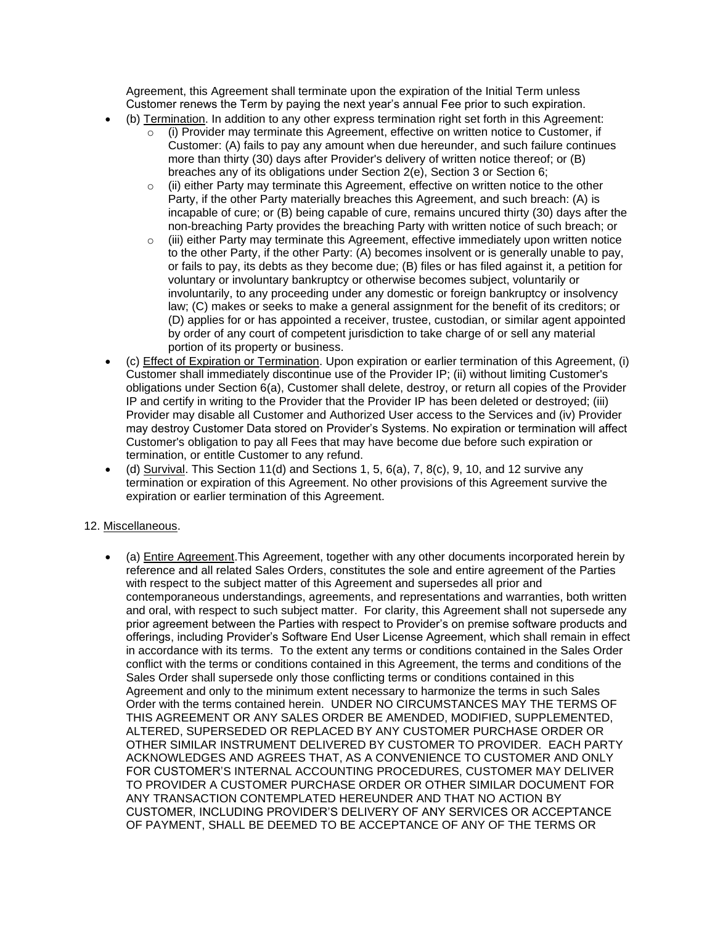Agreement, this Agreement shall terminate upon the expiration of the Initial Term unless Customer renews the Term by paying the next year's annual Fee prior to such expiration.

- (b) Termination. In addition to any other express termination right set forth in this Agreement:
	- $\circ$  (i) Provider may terminate this Agreement, effective on written notice to Customer, if Customer: (A) fails to pay any amount when due hereunder, and such failure continues more than thirty (30) days after Provider's delivery of written notice thereof; or (B) breaches any of its obligations under Section 2(e), Section 3 or Section 6;
	- $\circ$  (ii) either Party may terminate this Agreement, effective on written notice to the other Party, if the other Party materially breaches this Agreement, and such breach: (A) is incapable of cure; or (B) being capable of cure, remains uncured thirty (30) days after the non-breaching Party provides the breaching Party with written notice of such breach; or
	- $\circ$  (iii) either Party may terminate this Agreement, effective immediately upon written notice to the other Party, if the other Party: (A) becomes insolvent or is generally unable to pay, or fails to pay, its debts as they become due; (B) files or has filed against it, a petition for voluntary or involuntary bankruptcy or otherwise becomes subject, voluntarily or involuntarily, to any proceeding under any domestic or foreign bankruptcy or insolvency law; (C) makes or seeks to make a general assignment for the benefit of its creditors; or (D) applies for or has appointed a receiver, trustee, custodian, or similar agent appointed by order of any court of competent jurisdiction to take charge of or sell any material portion of its property or business.
- (c) Effect of Expiration or Termination. Upon expiration or earlier termination of this Agreement, (i) Customer shall immediately discontinue use of the Provider IP; (ii) without limiting Customer's obligations under Section 6(a), Customer shall delete, destroy, or return all copies of the Provider IP and certify in writing to the Provider that the Provider IP has been deleted or destroyed; (iii) Provider may disable all Customer and Authorized User access to the Services and (iv) Provider may destroy Customer Data stored on Provider's Systems. No expiration or termination will affect Customer's obligation to pay all Fees that may have become due before such expiration or termination, or entitle Customer to any refund.
- (d) Survival. This Section 11(d) and Sections 1, 5,  $6(a)$ , 7,  $8(c)$ , 9, 10, and 12 survive any termination or expiration of this Agreement. No other provisions of this Agreement survive the expiration or earlier termination of this Agreement.

# 12. Miscellaneous.

• (a) Entire Agreement.This Agreement, together with any other documents incorporated herein by reference and all related Sales Orders, constitutes the sole and entire agreement of the Parties with respect to the subject matter of this Agreement and supersedes all prior and contemporaneous understandings, agreements, and representations and warranties, both written and oral, with respect to such subject matter. For clarity, this Agreement shall not supersede any prior agreement between the Parties with respect to Provider's on premise software products and offerings, including Provider's Software End User License Agreement, which shall remain in effect in accordance with its terms. To the extent any terms or conditions contained in the Sales Order conflict with the terms or conditions contained in this Agreement, the terms and conditions of the Sales Order shall supersede only those conflicting terms or conditions contained in this Agreement and only to the minimum extent necessary to harmonize the terms in such Sales Order with the terms contained herein. UNDER NO CIRCUMSTANCES MAY THE TERMS OF THIS AGREEMENT OR ANY SALES ORDER BE AMENDED, MODIFIED, SUPPLEMENTED, ALTERED, SUPERSEDED OR REPLACED BY ANY CUSTOMER PURCHASE ORDER OR OTHER SIMILAR INSTRUMENT DELIVERED BY CUSTOMER TO PROVIDER. EACH PARTY ACKNOWLEDGES AND AGREES THAT, AS A CONVENIENCE TO CUSTOMER AND ONLY FOR CUSTOMER'S INTERNAL ACCOUNTING PROCEDURES, CUSTOMER MAY DELIVER TO PROVIDER A CUSTOMER PURCHASE ORDER OR OTHER SIMILAR DOCUMENT FOR ANY TRANSACTION CONTEMPLATED HEREUNDER AND THAT NO ACTION BY CUSTOMER, INCLUDING PROVIDER'S DELIVERY OF ANY SERVICES OR ACCEPTANCE OF PAYMENT, SHALL BE DEEMED TO BE ACCEPTANCE OF ANY OF THE TERMS OR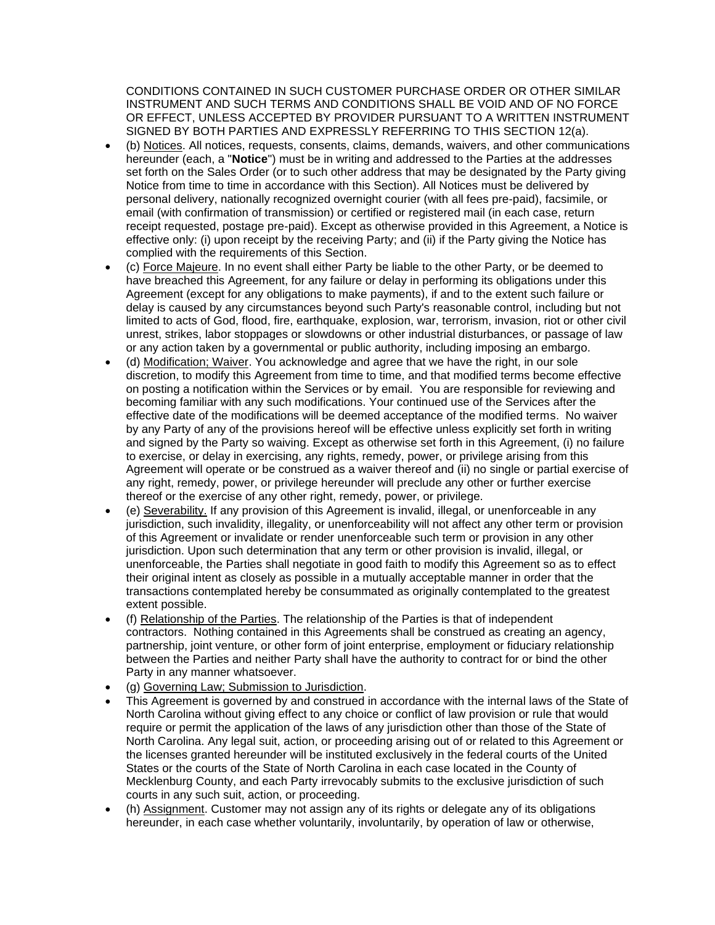CONDITIONS CONTAINED IN SUCH CUSTOMER PURCHASE ORDER OR OTHER SIMILAR INSTRUMENT AND SUCH TERMS AND CONDITIONS SHALL BE VOID AND OF NO FORCE OR EFFECT, UNLESS ACCEPTED BY PROVIDER PURSUANT TO A WRITTEN INSTRUMENT SIGNED BY BOTH PARTIES AND EXPRESSLY REFERRING TO THIS SECTION 12(a).

- (b) Notices. All notices, requests, consents, claims, demands, waivers, and other communications hereunder (each, a "**Notice**") must be in writing and addressed to the Parties at the addresses set forth on the Sales Order (or to such other address that may be designated by the Party giving Notice from time to time in accordance with this Section). All Notices must be delivered by personal delivery, nationally recognized overnight courier (with all fees pre-paid), facsimile, or email (with confirmation of transmission) or certified or registered mail (in each case, return receipt requested, postage pre-paid). Except as otherwise provided in this Agreement, a Notice is effective only: (i) upon receipt by the receiving Party; and (ii) if the Party giving the Notice has complied with the requirements of this Section.
- (c) Force Majeure. In no event shall either Party be liable to the other Party, or be deemed to have breached this Agreement, for any failure or delay in performing its obligations under this Agreement (except for any obligations to make payments), if and to the extent such failure or delay is caused by any circumstances beyond such Party's reasonable control, including but not limited to acts of God, flood, fire, earthquake, explosion, war, terrorism, invasion, riot or other civil unrest, strikes, labor stoppages or slowdowns or other industrial disturbances, or passage of law or any action taken by a governmental or public authority, including imposing an embargo.
- (d) Modification; Waiver. You acknowledge and agree that we have the right, in our sole discretion, to modify this Agreement from time to time, and that modified terms become effective on posting a notification within the Services or by email. You are responsible for reviewing and becoming familiar with any such modifications. Your continued use of the Services after the effective date of the modifications will be deemed acceptance of the modified terms. No waiver by any Party of any of the provisions hereof will be effective unless explicitly set forth in writing and signed by the Party so waiving. Except as otherwise set forth in this Agreement, (i) no failure to exercise, or delay in exercising, any rights, remedy, power, or privilege arising from this Agreement will operate or be construed as a waiver thereof and (ii) no single or partial exercise of any right, remedy, power, or privilege hereunder will preclude any other or further exercise thereof or the exercise of any other right, remedy, power, or privilege.
- (e) Severability. If any provision of this Agreement is invalid, illegal, or unenforceable in any jurisdiction, such invalidity, illegality, or unenforceability will not affect any other term or provision of this Agreement or invalidate or render unenforceable such term or provision in any other jurisdiction. Upon such determination that any term or other provision is invalid, illegal, or unenforceable, the Parties shall negotiate in good faith to modify this Agreement so as to effect their original intent as closely as possible in a mutually acceptable manner in order that the transactions contemplated hereby be consummated as originally contemplated to the greatest extent possible.
- (f) Relationship of the Parties. The relationship of the Parties is that of independent contractors. Nothing contained in this Agreements shall be construed as creating an agency, partnership, joint venture, or other form of joint enterprise, employment or fiduciary relationship between the Parties and neither Party shall have the authority to contract for or bind the other Party in any manner whatsoever.
- (g) Governing Law; Submission to Jurisdiction.
- This Agreement is governed by and construed in accordance with the internal laws of the State of North Carolina without giving effect to any choice or conflict of law provision or rule that would require or permit the application of the laws of any jurisdiction other than those of the State of North Carolina. Any legal suit, action, or proceeding arising out of or related to this Agreement or the licenses granted hereunder will be instituted exclusively in the federal courts of the United States or the courts of the State of North Carolina in each case located in the County of Mecklenburg County, and each Party irrevocably submits to the exclusive jurisdiction of such courts in any such suit, action, or proceeding.
- (h) Assignment. Customer may not assign any of its rights or delegate any of its obligations hereunder, in each case whether voluntarily, involuntarily, by operation of law or otherwise,